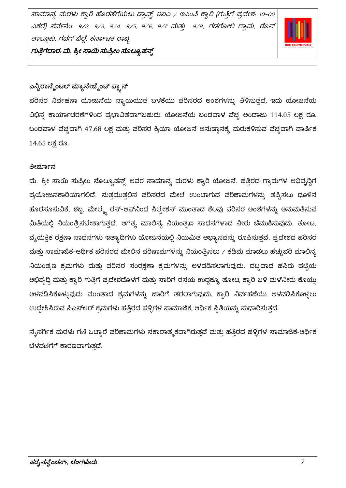ಸಾಮಾನ್ಯ ಮರಳು ಕ್ವಾರಿ ಹೊರತೆಗೆಯಲು ಡ್ರಾಫ್ಸ್ ಇಐಎ / ಇಎಂಪಿ ಕ್ವಾರಿ (ಗುತ್ತಿಗೆ ಪ್ರದೇಶ: 10-00 ಎಕರೆ) ಸವೇನಂ. 9/2, 9/3, 9/4, 9/5, 9/6, 9/7 ಮತ್ತು 9/8, ಗಡಗೋಲಿ ಗ್ರಾಮ, ರೊನ್ ತಾಲ್ಲೂಕು, ಗದಗ್ ಜಿಲ್ಲೆ, ಕರ್ನಾಟಕ ರಾಜ್ಯ



ಗುತ್ತಿಗೆದಾರ. ಮೆ. ಶ್ರೀ ಸಾಯಿ ಸುಪ್ರೀಂ ಸೊಲ್ಯೂಷನ್ಸ್

# ಎನ್ವಿರಾನ್ಮೆಂಟಲ್ ಮ್ಯಾನೇಜ್ಮೆಂಚ್ ಪ್ಲ್ಯಾನ್

ಪರಿಸರ ನಿರ್ವಹಣಾ ಯೋಜನೆಯ ನ್ಯಾಯಯುತ ಬಳಕೆಯು ಪರಿಸರದ ಅಂಶಗಳನ್ನು ತಿಳಿಸುತ್ತದೆ, ಇದು ಯೋಜನೆಯ ವಿಭಿನ್ನ ಕಾರ್ಯಾಚರಣೆಗಳಿಂದ ಪ್ರಭಾವಿತವಾಗಬಹುದು. ಯೋಜನೆಯ ಬಂಡವಾಳ ವೆಚ್ಚ ಅಂದಾಜು 114.05 ಲಕ್ಷ ರೂ. ಬಂಡವಾಳ ವೆಚ್ಚವಾಗಿ 47.68 ಲಕ್ಷ ಮತ್ತು ಪರಿಸರ ಕ್ರಿಯಾ ಯೋಜನೆ ಅನುಷ್ಠಾನಕ್ಕೆ ಮರುಕಳಿಸುವ ವೆಚ್ಚವಾಗಿ ವಾರ್ಷಿಕ 14.65 ಲಕ್ಷ ರೂ.

# ತೀರ್ಮಾನ

ಮೆ. ಶ್ರೀ ಸಾಯಿ ಸುಪ್ರೀಂ ಸೊಲ್ಯೂಷನ್ಸ್ ಅವರ ಸಾಮಾನ್ಯ ಮರಳು ಕ್ವಾರಿ ಯೋಜನೆ. ಹತ್ತಿರದ ಗ್ರಾಮಗಳ ಅಭಿವೃದ್ಧಿಗೆ ಪ್ರಯೋಜನಕಾರಿಯಾಗಲಿದೆ. ಸುತ್ತಮುತ್ತಲಿನ ಪರಿಸರದ ಮೇಲೆ ಉಂಟಾಗುವ ಪರಿಣಾಮಗಳನ್ನು ತಪ್ಪಿಸಲು ಧೂಳಿನ ಹೊರಸೂಸುವಿಕೆ, ಶಬ್ದ, ಮೇಲ್ಮ್ಮೆ ರನ್-ಆಫ್ನಿಂದ ಸಿಲ್ವೇಶನ್ ಮುಂತಾದ ಕೆಲವು ಪರಿಸರ ಅಂಶಗಳನ್ನು ಅನುಮತಿಸುವ ಮಿತಿಯಲ್ಲಿ ನಿಯಂತ್ರಿಸಬೇಕಾಗುತ್ತದೆ. ಅಗತ್ಯ ಮಾಲಿನ್ಯ ನಿಯಂತ್ರಣ ಸಾಧನಗಳಾದ ನೀರು ಚೆಮುಕಿಸುವುದು, ತೋಟ, ವೈಯಕ್ತಿಕ ರಕ್ಷಣಾ ಸಾಧನಗಳು ಇತ್ಯಾದಿಗಳು ಯೋಜನೆಯಲ್ಲಿ ನಿಯಮಿತ ಅಭ್ಯಾಸವನ್ನು ರೂಪಿಸುತ್ತವೆ. ಪ್ರದೇಶದ ಪರಿಸರ ಮತ್ತು ಸಾಮಾಜಿಕ-ಆರ್ಥಿಕ ಪರಿಸರದ ಮೇಲಿನ ಪರಿಣಾಮಗಳನ್ನು ನಿಯಂತ್ರಿಸಲು / ಕಡಿಮೆ ಮಾಡಲು ಹೆಚ್ಚುವರಿ ಮಾಲಿನ್ಯ ನಿಯಂತ್ರಣ ಕ್ರಮಗಳು ಮತ್ತು ಪರಿಸರ ಸಂರಕ್ಷಣಾ ಕ್ರಮಗಳನ್ನು ಅಳವಡಿಸಲಾಗುವುದು. ದಟ್ಟವಾದ ಹಸಿರು ಪಟ್ಟಿಯ ಅಭಿವೃದ್ಧಿ ಮತ್ತು ಕ್ವಾರಿ ಗುತ್ತಿಗೆ ಪ್ರದೇಶದೊಳಗೆ ಮತ್ತು ಸಾರಿಗೆ ರಸ್ತೆಯ ಉದ್ದಕ್ಕೂ ತೋಟ, ಕ್ವಾರಿ ಬಳಿ ಮಳೆನೀರು ಕೊಯ್ಲು ಅಳವಡಿಸಿಕೊಳ್ಳುವುದು ಮುಂತಾದ ಕ್ರಮಗಳನ್ನು ಜಾರಿಗೆ ತರಲಾಗುವುದು. ಕ್ಯಾರಿ ನಿರ್ವಹಣೆಯು ಅಳವಡಿಸಿಕೊಳ್ಳಲು ಉದ್ದೇಶಿಸಿರುವ ಸಿಎಸ್ಆರ್ ಕ್ರಮಗಳು ಹತ್ತಿರದ ಹಳ್ಳಿಗಳ ಸಾಮಾಜಿಕ, ಆರ್ಥಿಕ ಸ್ಥಿತಿಯನ್ನು ಸುಧಾರಿಸುತ್ತದೆ.

ನೈಸರ್ಗಿಕ ಮರಳು ಗಣಿ ಒಟ್ಟಾರೆ ಪರಿಣಾಮಗಳು ಸಕಾರಾತ್ಮಕವಾಗಿರುತ್ತವೆ ಮತ್ತು ಹತ್ತಿರದ ಹಳ್ಳಿಗಳ ಸಾಮಾಜಿಕ-ಆರ್ಥಿಕ ಬೆಳವಣಿಗೆಗೆ ಕಾರಣವಾಗುತ್ತದೆ.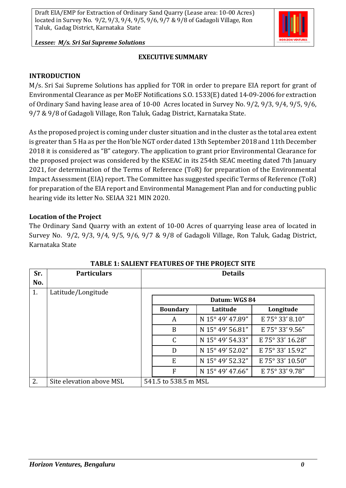

*Lessee: M/s. Sri Sai Supreme Solutions*

#### **EXECUTIVE SUMMARY**

#### **INTRODUCTION**

M/s. Sri Sai Supreme Solutions has applied for TOR in order to prepare EIA report for grant of Environmental Clearance as per MoEF Notifications S.O. 1533(E) dated 14-09-2006 for extraction of Ordinary Sand having lease area of 10-00 Acres located in Survey No. 9/2, 9/3, 9/4, 9/5, 9/6, 9/7 & 9/8 of Gadagoli Village, Ron Taluk, Gadag District, Karnataka State.

As the proposed project is coming under cluster situation and in the cluster as the total area extent is greater than 5 Ha as per the Hon'ble NGT order dated 13th September 2018 and 11th December 2018 it is considered as "B" category. The application to grant prior Environmental Clearance for the proposed project was considered by the KSEAC in its 254th SEAC meeting dated 7th January 2021, for determination of the Terms of Reference (ToR) for preparation of the Environmental Impact Assessment (EIA) report. The Committee has suggested specific Terms of Reference (ToR) for preparation of the EIA report and Environmental Management Plan and for conducting public hearing vide its letter No. SEIAA 321 MIN 2020.

#### **Location of the Project**

The Ordinary Sand Quarry with an extent of 10-00 Acres of quarrying lease area of located in Survey No. 9/2, 9/3, 9/4, 9/5, 9/6, 9/7 & 9/8 of Gadagoli Village, Ron Taluk, Gadag District, Karnataka State

| Sr. | <b>Particulars</b>       | <b>Details</b>       |                 |                  |                  |  |  |
|-----|--------------------------|----------------------|-----------------|------------------|------------------|--|--|
| No. |                          |                      |                 |                  |                  |  |  |
| 1.  | Latitude/Longitude       |                      |                 |                  |                  |  |  |
|     |                          | Datum: WGS 84        |                 |                  |                  |  |  |
|     |                          |                      | <b>Boundary</b> | Latitude         | Longitude        |  |  |
|     |                          |                      | A               | N 15° 49' 47.89" | E 75° 33' 8.10"  |  |  |
|     |                          |                      | B               | N 15° 49' 56.81" | E 75° 33' 9.56"  |  |  |
|     |                          |                      | $\mathcal{C}$   | N 15° 49' 54.33" | E 75° 33' 16.28" |  |  |
|     |                          |                      | D               | N 15° 49' 52.02" | E 75° 33' 15.92" |  |  |
|     |                          |                      | E               | N 15° 49' 52.32" | E 75° 33' 10.50" |  |  |
|     |                          |                      | F               | N 15° 49' 47.66" | E 75° 33' 9.78"  |  |  |
| 2.  | Site elevation above MSL | 541.5 to 538.5 m MSL |                 |                  |                  |  |  |

#### **TABLE 1: SALIENT FEATURES OF THE PROJECT SITE**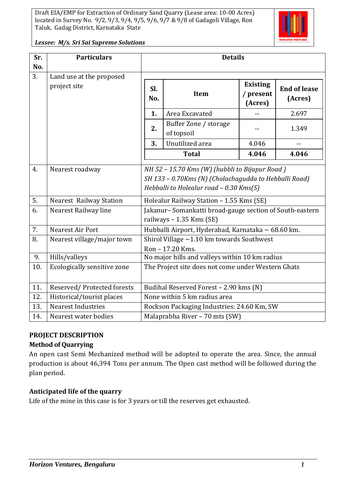

*Lessee: M/s. Sri Sai Supreme Solutions*

| Sr. | <b>Particulars</b>                       | <b>Details</b>                                                                                                                                     |                                     |                                         |                                |  |
|-----|------------------------------------------|----------------------------------------------------------------------------------------------------------------------------------------------------|-------------------------------------|-----------------------------------------|--------------------------------|--|
| No. |                                          |                                                                                                                                                    |                                     |                                         |                                |  |
| 3.  | Land use at the proposed<br>project site | SI.<br>No.                                                                                                                                         | <b>Item</b>                         | <b>Existing</b><br>/ present<br>(Acres) | <b>End of lease</b><br>(Acres) |  |
|     |                                          | 1.                                                                                                                                                 | Area Excavated                      |                                         | 2.697                          |  |
|     |                                          | 2.                                                                                                                                                 | Buffer Zone / storage<br>of topsoil |                                         | 1.349                          |  |
|     |                                          | 3.                                                                                                                                                 | Unutilized area                     | 4.046                                   | $-$                            |  |
|     |                                          |                                                                                                                                                    | <b>Total</b>                        | 4.046                                   | 4.046                          |  |
| 4.  | Nearest roadway                          | NH 52 - 15.70 Kms (W) (hubbli to Bijapur Road)<br>SH 133 - 0.70Kms (N) (Cholachagudda to Hebballi Road)<br>Hebballi to Holealur road - 0.30 Kms(S) |                                     |                                         |                                |  |
| 5.  | <b>Nearest Railway Station</b>           | Holealur Railway Station - 1.55 Kms (SE)                                                                                                           |                                     |                                         |                                |  |
| 6.  | Nearest Railway line                     | Jakanur-Somankatti broad-gauge section of South-eastern<br>railways - 1.35 Kms (SE)                                                                |                                     |                                         |                                |  |
| 7.  | Nearest Air Port                         | Hubballi Airport, Hyderabad, Karnataka ~ 68.60 km.                                                                                                 |                                     |                                         |                                |  |
| 8.  | Nearest village/major town               | Shirol Village $\sim$ 1.10 km towards Southwest<br>Ron - 17.20 Kms.                                                                                |                                     |                                         |                                |  |
| 9.  | Hills/valleys                            | No major hills and valleys within 10 km radius                                                                                                     |                                     |                                         |                                |  |
| 10. | Ecologically sensitive zone              | The Project site does not come under Western Ghats                                                                                                 |                                     |                                         |                                |  |
| 11. | Reserved/Protected forests               | Budihal Reserved Forest - 2.90 kms (N)                                                                                                             |                                     |                                         |                                |  |
| 12. | Historical/tourist places                | None within 5 km radius area                                                                                                                       |                                     |                                         |                                |  |
| 13. | <b>Nearest Industries</b>                | Rockson Packaging Industries: 24.60 Km, SW                                                                                                         |                                     |                                         |                                |  |
| 14. | Nearest water bodies                     | Malaprabha River - 70 mts (SW)                                                                                                                     |                                     |                                         |                                |  |

#### **PROJECT DESCRIPTION**

#### **Method of Quarrying**

An open cast Semi Mechanized method will be adopted to operate the area. Since, the annual production is about 46,394 Tons per annum. The Open cast method will be followed during the plan period.

#### **Anticipated life of the quarry**

Life of the mine in this case is for 3 years or till the reserves get exhausted.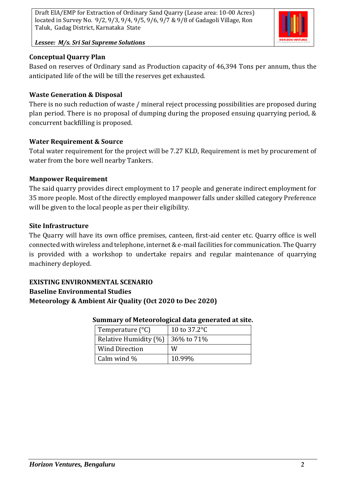

*Lessee: M/s. Sri Sai Supreme Solutions*

### **Conceptual Quarry Plan**

Based on reserves of Ordinary sand as Production capacity of 46,394 Tons per annum, thus the anticipated life of the will be till the reserves get exhausted.

### **Waste Generation & Disposal**

There is no such reduction of waste / mineral reject processing possibilities are proposed during plan period. There is no proposal of dumping during the proposed ensuing quarrying period, & concurrent backfilling is proposed.

### **Water Requirement & Source**

Total water requirement for the project will be 7.27 KLD, Requirement is met by procurement of water from the bore well nearby Tankers.

### **Manpower Requirement**

The said quarry provides direct employment to 17 people and generate indirect employment for 35 more people. Most of the directly employed manpower falls under skilled category Preference will be given to the local people as per their eligibility.

#### **Site Infrastructure**

The Quarry will have its own office premises, canteen, first-aid center etc. Quarry office is well connected with wireless and telephone, internet & e-mail facilities for communication. The Quarry is provided with a workshop to undertake repairs and regular maintenance of quarrying machinery deployed.

### **EXISTING ENVIRONMENTAL SCENARIO Baseline Environmental Studies Meteorology & Ambient Air Quality (Oct 2020 to Dec 2020)**

#### **Summary of Meteorological data generated at site.**

| Temperature $(^{\circ}C)$ | 10 to $37.2^{\circ}$ C |
|---------------------------|------------------------|
| Relative Humidity (%)     | 36% to 71%             |
| <b>Wind Direction</b>     | W                      |
| Calm wind $\%$            | 10.99%                 |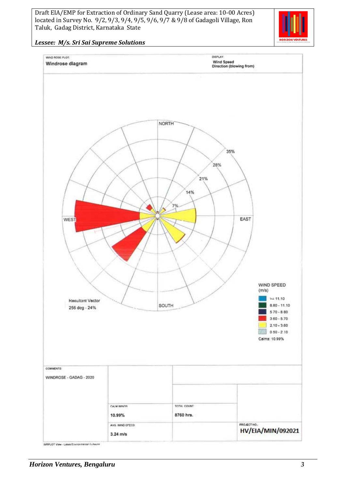

#### *Lessee: M/s. Sri Sai Supreme Solutions*

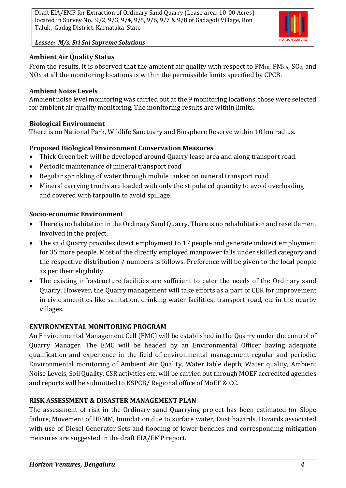

*Lessee: M/s. Sri Sai Supreme Solutions*

### **Ambient Air Quality Status**

From the results, it is observed that the ambient air quality with respect to  $PM_{10}$ ,  $PM_{2.5}$ ,  $SO_2$ , and NOx at all the monitoring locations is within the permissible limits specified by CPCB.

#### **Ambient Noise Levels**

Ambient noise level monitoring was carried out at the 9 monitoring locations, those were selected for ambient air quality monitoring. The monitoring results are within limits**.**

### **Biological Environment**

There is no National Park, Wildlife Sanctuary and Biosphere Reserve within 10 km radius.

# **Proposed Biological Environment Conservation Measures**

- Thick Green belt will be developed around Quarry lease area and along transport road.
- Periodic maintenance of mineral transport road
- Regular sprinkling of water through mobile tanker on mineral transport road
- Mineral carrying trucks are loaded with only the stipulated quantity to avoid overloading and covered with tarpaulin to avoid spillage.

### **Socio-economic Environment**

- There is no habitation in the Ordinary Sand Quarry. There is no rehabilitation and resettlement involved in the project.
- The said Quarry provides direct employment to 17 people and generate indirect employment for 35 more people. Most of the directly employed manpower falls under skilled category and the respective distribution / numbers is follows. Preference will be given to the local people as per their eligibility.
- The existing infrastructure facilities are sufficient to cater the needs of the Ordinary sand Quarry. However, the Quarry management will take efforts as a part of CER for improvement in civic amenities like sanitation, drinking water facilities, transport road, etc in the nearby villages.

# **ENVIRONMENTAL MONITORING PROGRAM**

An Environmental Management Cell (EMC) will be established in the Quarry under the control of Quarry Manager. The EMC will be headed by an Environmental Officer having adequate qualification and experience in the field of environmental management regular and periodic. Environmental monitoring of Ambient Air Quality, Water table depth, Water quality, Ambient Noise Levels, Soil Quality, CSR activities etc. will be carried out through MOEF accredited agencies and reports will be submitted to KSPCB/ Regional office of MoEF & CC.

# **RISK ASSESSMENT & DISASTER MANAGEMENT PLAN**

The assessment of risk in the Ordinary sand Quarrying project has been estimated for Slope failure, Movement of HEMM, Inundation due to surface water, Dust hazards, Hazards associated with use of Diesel Generator Sets and flooding of lower benches and corresponding mitigation measures are suggested in the draft EIA/EMP report.